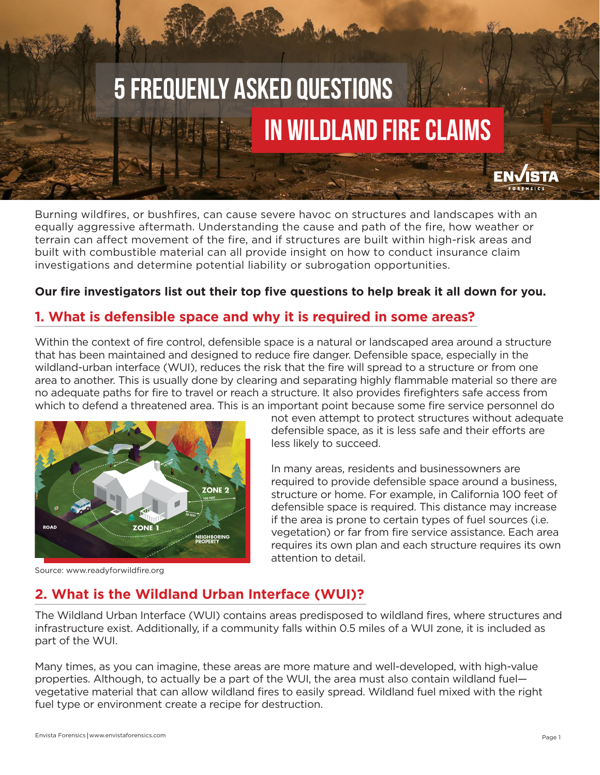# 5 Frequenly Asked Questions In Wildland Fire Claims

Burning wildfires, or bushfires, can cause severe havoc on structures and landscapes with an equally aggressive aftermath. Understanding the cause and path of the fire, how weather or terrain can affect movement of the fire, and if structures are built within high-risk areas and built with combustible material can all provide insight on how to conduct insurance claim investigations and determine potential liability or subrogation opportunities.

#### **Our fire investigators list out their top five questions to help break it all down for you.**

### **1. What is defensible space and why it is required in some areas?**

Within the context of fire control, defensible space is a natural or landscaped area around a structure that has been maintained and designed to reduce fire danger. Defensible space, especially in the wildland-urban interface (WUI), reduces the risk that the fire will spread to a structure or from one area to another. This is usually done by clearing and separating highly flammable material so there are no adequate paths for fire to travel or reach a structure. It also provides firefighters safe access from which to defend a threatened area. This is an important point because some fire service personnel do



not even attempt to protect structures without adequate defensible space, as it is less safe and their efforts are less likely to succeed.

In many areas, residents and businessowners are required to provide defensible space around a business, structure or home. For example, in California 100 feet of defensible space is required. This distance may increase if the area is prone to certain types of fuel sources (i.e. vegetation) or far from fire service assistance. Each area requires its own plan and each structure requires its own attention to detail.

Source: www.readyforwildfire.org

# **2. What is the Wildland Urban Interface (WUI)?**

The Wildland Urban Interface (WUI) contains areas predisposed to wildland fires, where structures and infrastructure exist. Additionally, if a community falls within 0.5 miles of a WUI zone, it is included as part of the WUI.

Many times, as you can imagine, these areas are more mature and well-developed, with high-value properties. Although, to actually be a part of the WUI, the area must also contain wildland fuel vegetative material that can allow wildland fires to easily spread. Wildland fuel mixed with the right fuel type or environment create a recipe for destruction.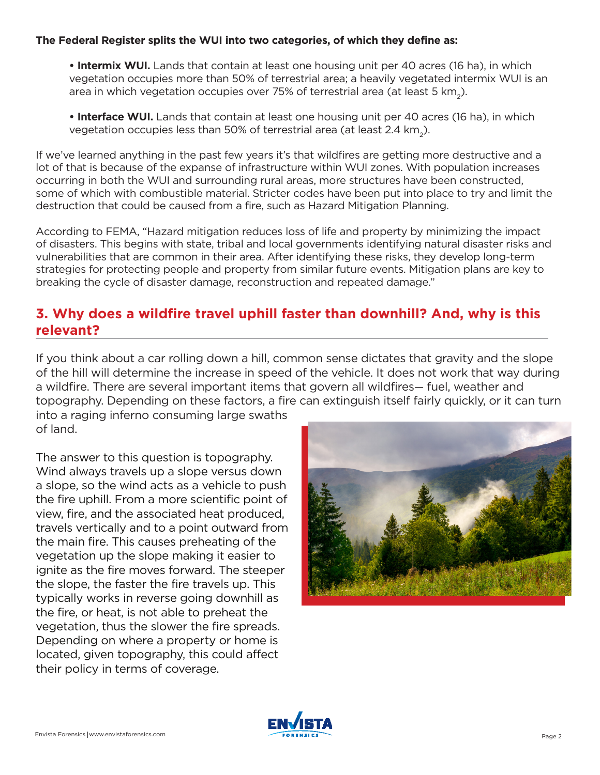#### **The Federal Register splits the WUI into two categories, of which they define as:**

**• Intermix WUI.** Lands that contain at least one housing unit per 40 acres (16 ha), in which vegetation occupies more than 50% of terrestrial area; a heavily vegetated intermix WUI is an area in which vegetation occupies over 75% of terrestrial area (at least 5 km<sub>2</sub>).

**• Interface WUI.** Lands that contain at least one housing unit per 40 acres (16 ha), in which vegetation occupies less than 50% of terrestrial area (at least  $2.4 \text{ km}$ <sub>2</sub>).

If we've learned anything in the past few years it's that wildfires are getting more destructive and a lot of that is because of the expanse of infrastructure within WUI zones. With population increases occurring in both the WUI and surrounding rural areas, more structures have been constructed, some of which with combustible material. Stricter codes have been put into place to try and limit the destruction that could be caused from a fire, such as Hazard Mitigation Planning.

According to FEMA, "Hazard mitigation reduces loss of life and property by minimizing the impact of disasters. This begins with state, tribal and local governments identifying natural disaster risks and vulnerabilities that are common in their area. After identifying these risks, they develop long-term strategies for protecting people and property from similar future events. Mitigation plans are key to breaking the cycle of disaster damage, reconstruction and repeated damage."

# **3. Why does a wildfire travel uphill faster than downhill? And, why is this relevant?**

into a raging inferno consuming large swaths If you think about a car rolling down a hill, common sense dictates that gravity and the slope of the hill will determine the increase in speed of the vehicle. It does not work that way during a wildfire. There are several important items that govern all wildfires— fuel, weather and topography. Depending on these factors, a fire can extinguish itself fairly quickly, or it can turn

of land.

The answer to this question is topography. Wind always travels up a slope versus down a slope, so the wind acts as a vehicle to push the fire uphill. From a more scientific point of view, fire, and the associated heat produced, travels vertically and to a point outward from the main fire. This causes preheating of the vegetation up the slope making it easier to ignite as the fire moves forward. The steeper the slope, the faster the fire travels up. This typically works in reverse going downhill as the fire, or heat, is not able to preheat the vegetation, thus the slower the fire spreads. Depending on where a property or home is located, given topography, this could affect their policy in terms of coverage.



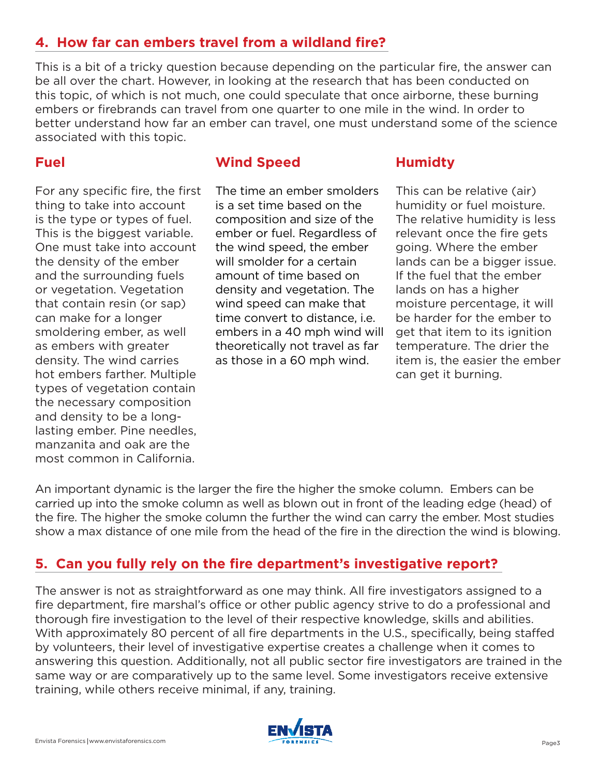# **4. How far can embers travel from a wildland fire?**

This is a bit of a tricky question because depending on the particular fire, the answer can be all over the chart. However, in looking at the research that has been conducted on this topic, of which is not much, one could speculate that once airborne, these burning embers or firebrands can travel from one quarter to one mile in the wind. In order to better understand how far an ember can travel, one must understand some of the science associated with this topic.

## **Fuel**

For any specific fire, the first thing to take into account is the type or types of fuel. This is the biggest variable. One must take into account the density of the ember and the surrounding fuels or vegetation. Vegetation that contain resin (or sap) can make for a longer smoldering ember, as well as embers with greater density. The wind carries hot embers farther. Multiple types of vegetation contain the necessary composition and density to be a longlasting ember. Pine needles, manzanita and oak are the most common in California.

## **Wind Speed**

The time an ember smolders is a set time based on the composition and size of the ember or fuel. Regardless of the wind speed, the ember will smolder for a certain amount of time based on density and vegetation. The wind speed can make that time convert to distance, i.e. embers in a 40 mph wind will theoretically not travel as far as those in a 60 mph wind.

#### **Humidty**

This can be relative (air) humidity or fuel moisture. The relative humidity is less relevant once the fire gets going. Where the ember lands can be a bigger issue. If the fuel that the ember lands on has a higher moisture percentage, it will be harder for the ember to get that item to its ignition temperature. The drier the item is, the easier the ember can get it burning.

An important dynamic is the larger the fire the higher the smoke column. Embers can be carried up into the smoke column as well as blown out in front of the leading edge (head) of the fire. The higher the smoke column the further the wind can carry the ember. Most studies show a max distance of one mile from the head of the fire in the direction the wind is blowing.

# **5. Can you fully rely on the fire department's investigative report?**

The answer is not as straightforward as one may think. All fire investigators assigned to a fire department, fire marshal's office or other public agency strive to do a professional and thorough fire investigation to the level of their respective knowledge, skills and abilities. With approximately 80 percent of all fire departments in the U.S., specifically, being staffed by volunteers, their level of investigative expertise creates a challenge when it comes to answering this question. Additionally, not all public sector fire investigators are trained in the same way or are comparatively up to the same level. Some investigators receive extensive training, while others receive minimal, if any, training.